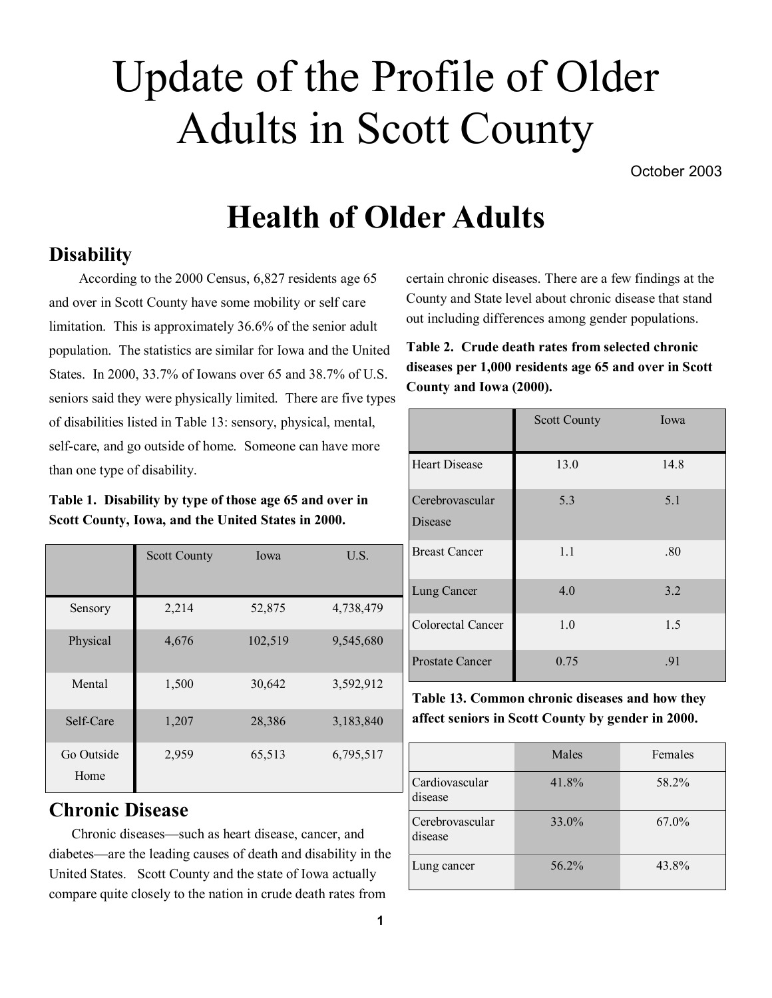# Update of the Profile of Older Adults in Scott County

October 2003

# **Health of Older Adults**

# **Disability**

 According to the 2000 Census, 6,827 residents age 65 and over in Scott County have some mobility or self care limitation. This is approximately 36.6% of the senior adult population. The statistics are similar for Iowa and the United States. In 2000, 33.7% of Iowans over 65 and 38.7% of U.S. seniors said they were physically limited. There are five types of disabilities listed in Table 13: sensory, physical, mental, self-care, and go outside of home. Someone can have more than one type of disability.

**Table 1. Disability by type of those age 65 and over in Scott County, Iowa, and the United States in 2000.**

|                    | <b>Scott County</b> | Iowa    | U.S.      |
|--------------------|---------------------|---------|-----------|
|                    |                     |         |           |
| Sensory            | 2,214               | 52,875  | 4,738,479 |
| Physical           | 4,676               | 102,519 | 9,545,680 |
| Mental             | 1,500               | 30,642  | 3,592,912 |
| Self-Care          | 1,207               | 28,386  | 3,183,840 |
| Go Outside<br>Home | 2,959               | 65,513  | 6,795,517 |

# **Chronic Disease**

Chronic diseases—such as heart disease, cancer, and diabetes—are the leading causes of death and disability in the United States. Scott County and the state of Iowa actually compare quite closely to the nation in crude death rates from

certain chronic diseases. There are a few findings at the County and State level about chronic disease that stand out including differences among gender populations.

**Table 2. Crude death rates from selected chronic diseases per 1,000 residents age 65 and over in Scott County and Iowa (2000).**

|                            | <b>Scott County</b> | Iowa |
|----------------------------|---------------------|------|
| <b>Heart Disease</b>       | 13.0                | 14.8 |
| Cerebrovascular<br>Disease | 5.3                 | 5.1  |
| <b>Breast Cancer</b>       | 1.1                 | .80  |
| Lung Cancer                | 4.0                 | 3.2  |
| Colorectal Cancer          | 1.0                 | 1.5  |
| <b>Prostate Cancer</b>     | 0.75                | .91  |

**Table 13. Common chronic diseases and how they affect seniors in Scott County by gender in 2000.** 

|                            | Males | Females  |
|----------------------------|-------|----------|
| Cardiovascular<br>disease  | 41.8% | 58.2%    |
| Cerebrovascular<br>disease | 33.0% | $67.0\%$ |
| Lung cancer                | 56.2% | 43.8%    |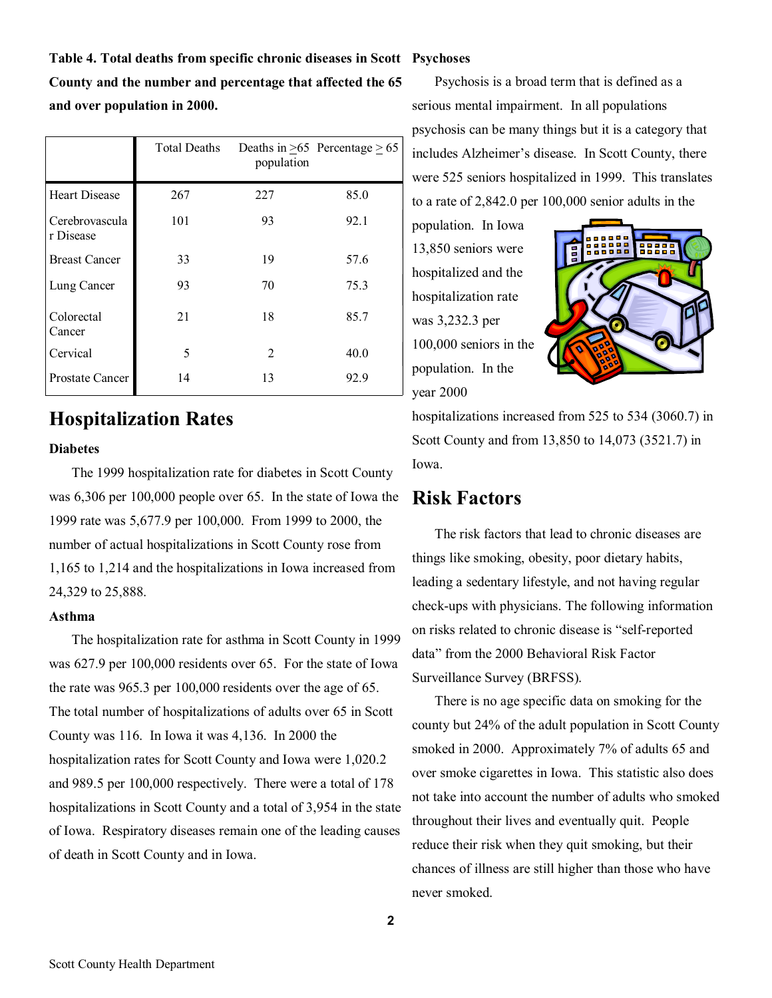# **Table 4. Total deaths from specific chronic diseases in Scott Psychoses County and the number and percentage that affected the 65 and over population in 2000.**

|                             | <b>Total Deaths</b> | population     | Deaths in $>65$ Percentage $>65$ |
|-----------------------------|---------------------|----------------|----------------------------------|
| <b>Heart Disease</b>        | 267                 | 227            | 85.0                             |
| Cerebrovascula<br>r Disease | 101                 | 93             | 92.1                             |
| <b>Breast Cancer</b>        | 33                  | 19             | 57.6                             |
| Lung Cancer                 | 93                  | 70             | 75.3                             |
| Colorectal<br>Cancer        | 21                  | 18             | 85.7                             |
| Cervical                    | 5                   | $\overline{2}$ | 40.0                             |
| <b>Prostate Cancer</b>      | 14                  | 13             | 92.9                             |

# **Hospitalization Rates**

#### **Diabetes**

The 1999 hospitalization rate for diabetes in Scott County was 6,306 per 100,000 people over 65. In the state of Iowa the 1999 rate was 5,677.9 per 100,000. From 1999 to 2000, the number of actual hospitalizations in Scott County rose from 1,165 to 1,214 and the hospitalizations in Iowa increased from 24,329 to 25,888.

#### **Asthma**

The hospitalization rate for asthma in Scott County in 1999 was 627.9 per 100,000 residents over 65. For the state of Iowa the rate was 965.3 per 100,000 residents over the age of 65. The total number of hospitalizations of adults over 65 in Scott County was 116. In Iowa it was 4,136. In 2000 the hospitalization rates for Scott County and Iowa were 1,020.2 and 989.5 per 100,000 respectively. There were a total of 178 hospitalizations in Scott County and a total of 3,954 in the state of Iowa. Respiratory diseases remain one of the leading causes of death in Scott County and in Iowa.

Psychosis is a broad term that is defined as a serious mental impairment. In all populations psychosis can be many things but it is a category that includes Alzheimer's disease. In Scott County, there were 525 seniors hospitalized in 1999. This translates to a rate of 2,842.0 per 100,000 senior adults in the

population. In Iowa 13,850 seniors were hospitalized and the hospitalization rate was 3,232.3 per 100,000 seniors in the population. In the year 2000



hospitalizations increased from 525 to 534 (3060.7) in Scott County and from 13,850 to 14,073 (3521.7) in Iowa.

# **Risk Factors**

The risk factors that lead to chronic diseases are things like smoking, obesity, poor dietary habits, leading a sedentary lifestyle, and not having regular check-ups with physicians. The following information on risks related to chronic disease is "self-reported data" from the 2000 Behavioral Risk Factor Surveillance Survey (BRFSS).

There is no age specific data on smoking for the county but 24% of the adult population in Scott County smoked in 2000. Approximately 7% of adults 65 and over smoke cigarettes in Iowa. This statistic also does not take into account the number of adults who smoked throughout their lives and eventually quit. People reduce their risk when they quit smoking, but their chances of illness are still higher than those who have never smoked.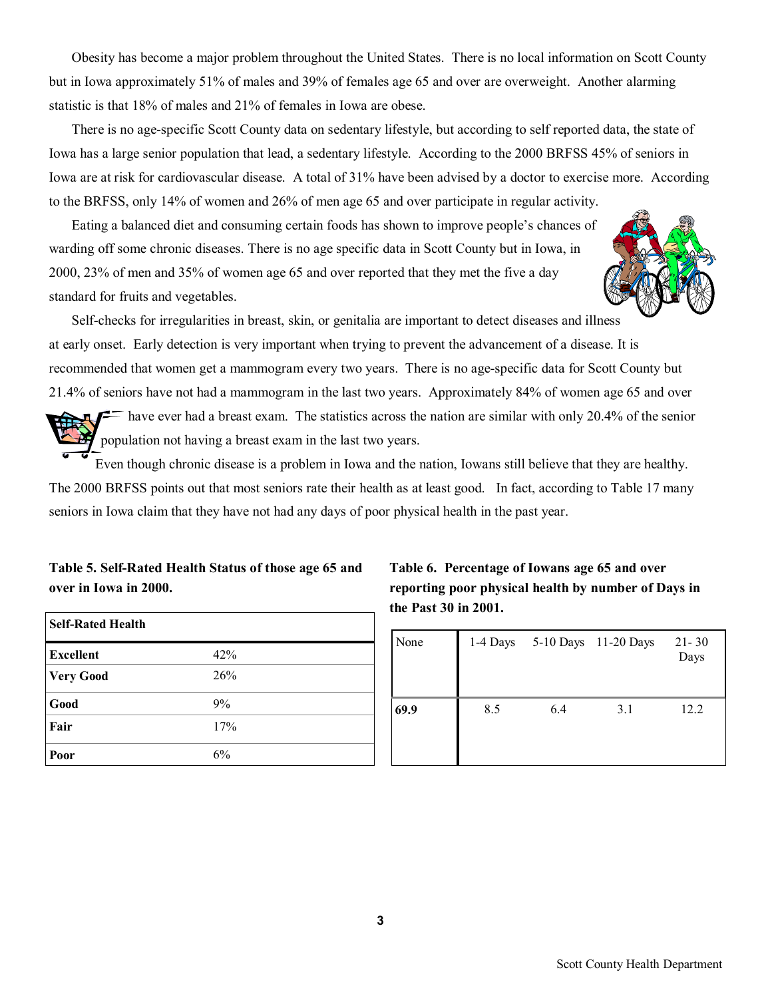Obesity has become a major problem throughout the United States. There is no local information on Scott County but in Iowa approximately 51% of males and 39% of females age 65 and over are overweight. Another alarming statistic is that 18% of males and 21% of females in Iowa are obese.

There is no age-specific Scott County data on sedentary lifestyle, but according to self reported data, the state of Iowa has a large senior population that lead, a sedentary lifestyle. According to the 2000 BRFSS 45% of seniors in Iowa are at risk for cardiovascular disease. A total of 31% have been advised by a doctor to exercise more. According to the BRFSS, only 14% of women and 26% of men age 65 and over participate in regular activity.

Eating a balanced diet and consuming certain foods has shown to improve people's chances of warding off some chronic diseases. There is no age specific data in Scott County but in Iowa, in 2000, 23% of men and 35% of women age 65 and over reported that they met the five a day standard for fruits and vegetables.



Self-checks for irregularities in breast, skin, or genitalia are important to detect diseases and illness at early onset. Early detection is very important when trying to prevent the advancement of a disease. It is recommended that women get a mammogram every two years. There is no age-specific data for Scott County but 21.4% of seniors have not had a mammogram in the last two years. Approximately 84% of women age 65 and over

 $\equiv$  have ever had a breast exam. The statistics across the nation are similar with only 20.4% of the senior population not having a breast exam in the last two years.

Even though chronic disease is a problem in Iowa and the nation, Iowans still believe that they are healthy. The 2000 BRFSS points out that most seniors rate their health as at least good. In fact, according to Table 17 many seniors in Iowa claim that they have not had any days of poor physical health in the past year.

### **Table 5. Self-Rated Health Status of those age 65 and over in Iowa in 2000.**

| <b>Self-Rated Health</b> |     |
|--------------------------|-----|
| <b>Excellent</b>         | 42% |
| <b>Very Good</b>         | 26% |
| Good                     | 9%  |
| Fair                     | 17% |
| Poor                     | 6%  |

**Table 6. Percentage of Iowans age 65 and over reporting poor physical health by number of Days in the Past 30 in 2001.**

| None | 1-4 Days |     | 5-10 Days 11-20 Days | $21 - 30$<br>Days |
|------|----------|-----|----------------------|-------------------|
| 69.9 | 8.5      | 6.4 | 3.1                  | 12.2              |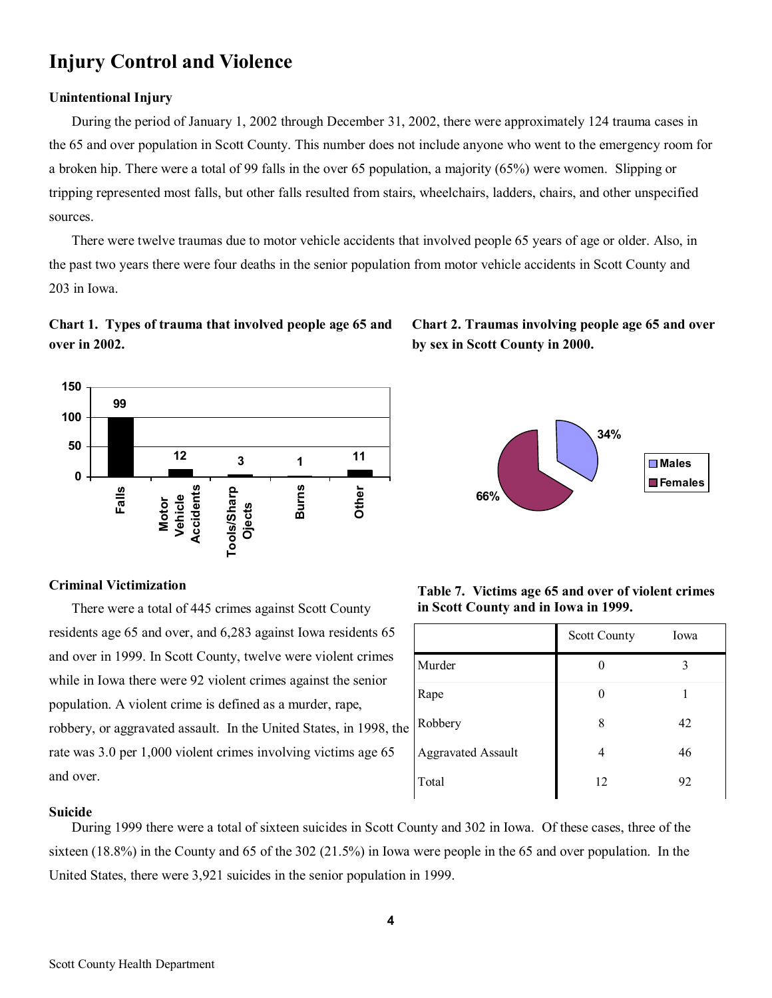# **Injury Control and Violence**

#### **Unintentional Injury**

During the period of January 1, 2002 through December 31, 2002, there were approximately 124 trauma cases in the 65 and over population in Scott County. This number does not include anyone who went to the emergency room for a broken hip. There were a total of 99 falls in the over 65 population, a majority (65%) were women. Slipping or tripping represented most falls, but other falls resulted from stairs, wheelchairs, ladders, chairs, and other unspecified sources.

There were twelve traumas due to motor vehicle accidents that involved people 65 years of age or older. Also, in the past two years there were four deaths in the senior population from motor vehicle accidents in Scott County and 203 in Iowa.

## **Chart 1. Types of trauma that involved people age 65 and over in 2002.**



#### **Criminal Victimization**

There were a total of 445 crimes against Scott County residents age 65 and over, and 6,283 against Iowa residents 65 and over in 1999. In Scott County, twelve were violent crimes while in Iowa there were 92 violent crimes against the senior population. A violent crime is defined as a murder, rape, robbery, or aggravated assault. In the United States, in 1998, the rate was 3.0 per 1,000 violent crimes involving victims age 65 and over.

# **Chart 2. Traumas involving people age 65 and over by sex in Scott County in 2000.**



| Table 7. Victims age 65 and over of violent crimes |  |  |  |
|----------------------------------------------------|--|--|--|
| in Scott County and in Iowa in 1999.               |  |  |  |

|                           | <b>Scott County</b> | Iowa |
|---------------------------|---------------------|------|
| Murder                    |                     | 3    |
| Rape                      | O                   |      |
| Robbery                   | 8                   | 42   |
| <b>Aggravated Assault</b> | 4                   | 46   |
| Total                     | 12                  | 92   |

#### **Suicide**

During 1999 there were a total of sixteen suicides in Scott County and 302 in Iowa. Of these cases, three of the sixteen (18.8%) in the County and 65 of the 302 (21.5%) in Iowa were people in the 65 and over population. In the United States, there were 3,921 suicides in the senior population in 1999.